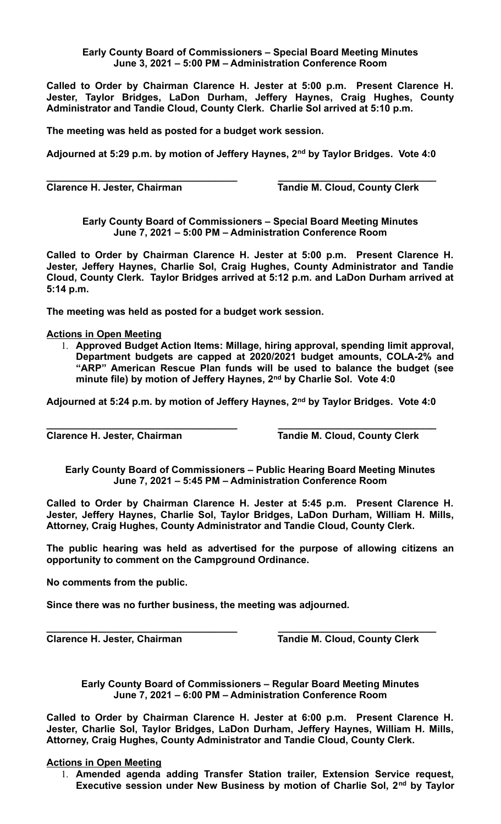## **Early County Board of Commissioners – Special Board Meeting Minutes June 3, 2021 – 5:00 PM – Administration Conference Room**

**Called to Order by Chairman Clarence H. Jester at 5:00 p.m. Present Clarence H. Jester, Taylor Bridges, LaDon Durham, Jeffery Haynes, Craig Hughes, County Administrator and Tandie Cloud, County Clerk. Charlie Sol arrived at 5:10 p.m.**

**The meeting was held as posted for a budget work session.**

**Adjourned at 5:29 p.m. by motion of Jeffery Haynes, 2nd by Taylor Bridges. Vote 4:0**

**\_\_\_\_\_\_\_\_\_\_\_\_\_\_\_\_\_\_\_\_\_\_\_\_\_\_\_\_\_\_\_\_\_\_\_ \_\_\_\_\_\_\_\_\_\_\_\_\_\_\_\_\_\_\_\_\_\_\_\_\_\_\_\_\_ Clarence H. Jester, Chairman Tandie M. Cloud, County Clerk**

**Early County Board of Commissioners – Special Board Meeting Minutes June 7, 2021 – 5:00 PM – Administration Conference Room**

**Called to Order by Chairman Clarence H. Jester at 5:00 p.m. Present Clarence H. Jester, Jeffery Haynes, Charlie Sol, Craig Hughes, County Administrator and Tandie Cloud, County Clerk. Taylor Bridges arrived at 5:12 p.m. and LaDon Durham arrived at 5:14 p.m.**

**The meeting was held as posted for a budget work session.**

## **Actions in Open Meeting**

1. **Approved Budget Action Items: Millage, hiring approval, spending limit approval, Department budgets are capped at 2020/2021 budget amounts, COLA-2% and "ARP" American Rescue Plan funds will be used to balance the budget (see minute file) by motion of Jeffery Haynes, 2nd by Charlie Sol. Vote 4:0**

**Adjourned at 5:24 p.m. by motion of Jeffery Haynes, 2nd by Taylor Bridges. Vote 4:0**

**\_\_\_\_\_\_\_\_\_\_\_\_\_\_\_\_\_\_\_\_\_\_\_\_\_\_\_\_\_\_\_\_\_\_\_ \_\_\_\_\_\_\_\_\_\_\_\_\_\_\_\_\_\_\_\_\_\_\_\_\_\_\_\_\_ Clarence H. Jester, Chairman Tandie M. Cloud, County Clerk** 

**Early County Board of Commissioners – Public Hearing Board Meeting Minutes June 7, 2021 – 5:45 PM – Administration Conference Room**

**Called to Order by Chairman Clarence H. Jester at 5:45 p.m. Present Clarence H. Jester, Jeffery Haynes, Charlie Sol, Taylor Bridges, LaDon Durham, William H. Mills, Attorney, Craig Hughes, County Administrator and Tandie Cloud, County Clerk.** 

**The public hearing was held as advertised for the purpose of allowing citizens an opportunity to comment on the Campground Ordinance.**

**No comments from the public.**

**Since there was no further business, the meeting was adjourned.**

**\_\_\_\_\_\_\_\_\_\_\_\_\_\_\_\_\_\_\_\_\_\_\_\_\_\_\_\_\_\_\_\_\_\_\_ \_\_\_\_\_\_\_\_\_\_\_\_\_\_\_\_\_\_\_\_\_\_\_\_\_\_\_\_\_ Clarence H. Jester, Chairman Tandie M. Cloud, County Clerk** 

**Early County Board of Commissioners – Regular Board Meeting Minutes June 7, 2021 – 6:00 PM – Administration Conference Room**

**Called to Order by Chairman Clarence H. Jester at 6:00 p.m. Present Clarence H. Jester, Charlie Sol, Taylor Bridges, LaDon Durham, Jeffery Haynes, William H. Mills, Attorney, Craig Hughes, County Administrator and Tandie Cloud, County Clerk.** 

## **Actions in Open Meeting**

1. **Amended agenda adding Transfer Station trailer, Extension Service request, Executive session under New Business by motion of Charlie Sol, 2nd by Taylor**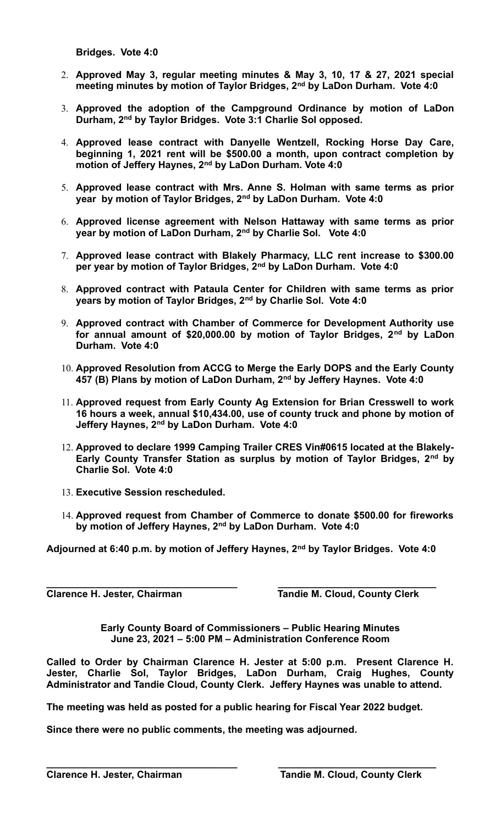**Bridges. Vote 4:0**

- 2. **Approved May 3, regular meeting minutes & May 3, 10, 17 & 27, 2021 special meeting minutes by motion of Taylor Bridges, 2nd by LaDon Durham. Vote 4:0**
- 3. **Approved the adoption of the Campground Ordinance by motion of LaDon Durham, 2nd by Taylor Bridges. Vote 3:1 Charlie Sol opposed.**
- 4. **Approved lease contract with Danyelle Wentzell, Rocking Horse Day Care, beginning 1, 2021 rent will be \$500.00 a month, upon contract completion by motion of Jeffery Haynes, 2nd by LaDon Durham. Vote 4:0**
- 5. **Approved lease contract with Mrs. Anne S. Holman with same terms as prior year by motion of Taylor Bridges, 2nd by LaDon Durham. Vote 4:0**
- 6. **Approved license agreement with Nelson Hattaway with same terms as prior year by motion of LaDon Durham, 2nd by Charlie Sol. Vote 4:0**
- 7. **Approved lease contract with Blakely Pharmacy, LLC rent increase to \$300.00 per year by motion of Taylor Bridges, 2nd by LaDon Durham. Vote 4:0**
- 8. **Approved contract with Pataula Center for Children with same terms as prior years by motion of Taylor Bridges, 2nd by Charlie Sol. Vote 4:0**
- 9. **Approved contract with Chamber of Commerce for Development Authority use for annual amount of \$20,000.00 by motion of Taylor Bridges, 2nd by LaDon Durham. Vote 4:0**
- 10. **Approved Resolution from ACCG to Merge the Early DOPS and the Early County 457 (B) Plans by motion of LaDon Durham, 2nd by Jeffery Haynes. Vote 4:0**
- 11. **Approved request from Early County Ag Extension for Brian Cresswell to work 16 hours a week, annual \$10,434.00, use of county truck and phone by motion of Jeffery Haynes, 2nd by LaDon Durham. Vote 4:0**
- 12. **Approved to declare 1999 Camping Trailer CRES Vin#0615 located at the Blakely-Early County Transfer Station as surplus by motion of Taylor Bridges, 2nd by Charlie Sol. Vote 4:0**
- 13. **Executive Session rescheduled.**
- 14. **Approved request from Chamber of Commerce to donate \$500.00 for fireworks by motion of Jeffery Haynes, 2nd by LaDon Durham. Vote 4:0**

**Adjourned at 6:40 p.m. by motion of Jeffery Haynes, 2nd by Taylor Bridges. Vote 4:0**

**\_\_\_\_\_\_\_\_\_\_\_\_\_\_\_\_\_\_\_\_\_\_\_\_\_\_\_\_\_\_\_\_\_\_\_ \_\_\_\_\_\_\_\_\_\_\_\_\_\_\_\_\_\_\_\_\_\_\_\_\_\_\_\_\_ Clarence H. Jester, Chairman Tandie M. Cloud, County Clerk** 

> **Early County Board of Commissioners – Public Hearing Minutes June 23, 2021 – 5:00 PM – Administration Conference Room**

**Called to Order by Chairman Clarence H. Jester at 5:00 p.m. Present Clarence H. Jester, Charlie Sol, Taylor Bridges, LaDon Durham, Craig Hughes, County Administrator and Tandie Cloud, County Clerk. Jeffery Haynes was unable to attend.**

**The meeting was held as posted for a public hearing for Fiscal Year 2022 budget.**

**\_\_\_\_\_\_\_\_\_\_\_\_\_\_\_\_\_\_\_\_\_\_\_\_\_\_\_\_\_\_\_\_\_\_\_ \_\_\_\_\_\_\_\_\_\_\_\_\_\_\_\_\_\_\_\_\_\_\_\_\_\_\_\_\_**

**Since there were no public comments, the meeting was adjourned.**